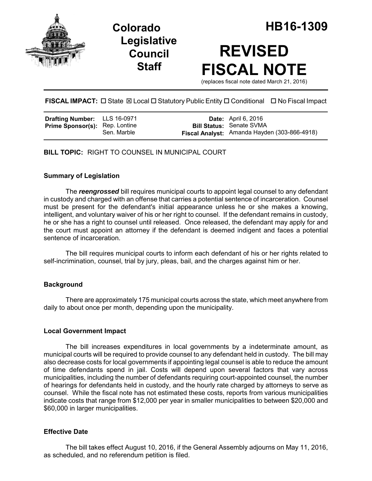

**Legislative Council Staff**

# **REVISED FISCAL NOTE**

(replaces fiscal note dated March 21, 2016)

# **FISCAL IMPACT:** □ State  $\boxtimes$  Local □ Statutory Public Entity □ Conditional □ No Fiscal Impact

| Drafting Number: LLS 16-0971          |             | <b>Date:</b> April 6, 2016                   |
|---------------------------------------|-------------|----------------------------------------------|
| <b>Prime Sponsor(s):</b> Rep. Lontine |             | <b>Bill Status: Senate SVMA</b>              |
|                                       | Sen. Marble | Fiscal Analyst: Amanda Hayden (303-866-4918) |

**BILL TOPIC:** RIGHT TO COUNSEL IN MUNICIPAL COURT

## **Summary of Legislation**

The *reengrossed* bill requires municipal courts to appoint legal counsel to any defendant in custody and charged with an offense that carries a potential sentence of incarceration. Counsel must be present for the defendant's initial appearance unless he or she makes a knowing, intelligent, and voluntary waiver of his or her right to counsel. If the defendant remains in custody, he or she has a right to counsel until released. Once released, the defendant may apply for and the court must appoint an attorney if the defendant is deemed indigent and faces a potential sentence of incarceration

The bill requires municipal courts to inform each defendant of his or her rights related to self-incrimination, counsel, trial by jury, pleas, bail, and the charges against him or her.

## **Background**

There are approximately 175 municipal courts across the state, which meet anywhere from daily to about once per month, depending upon the municipality.

## **Local Government Impact**

The bill increases expenditures in local governments by a indeterminate amount, as municipal courts will be required to provide counsel to any defendant held in custody. The bill may also decrease costs for local governments if appointing legal counsel is able to reduce the amount of time defendants spend in jail. Costs will depend upon several factors that vary across municipalities, including the number of defendants requiring court-appointed counsel, the number of hearings for defendants held in custody, and the hourly rate charged by attorneys to serve as counsel. While the fiscal note has not estimated these costs, reports from various municipalities indicate costs that range from \$12,000 per year in smaller municipalities to between \$20,000 and \$60,000 in larger municipalities.

## **Effective Date**

The bill takes effect August 10, 2016, if the General Assembly adjourns on May 11, 2016, as scheduled, and no referendum petition is filed.